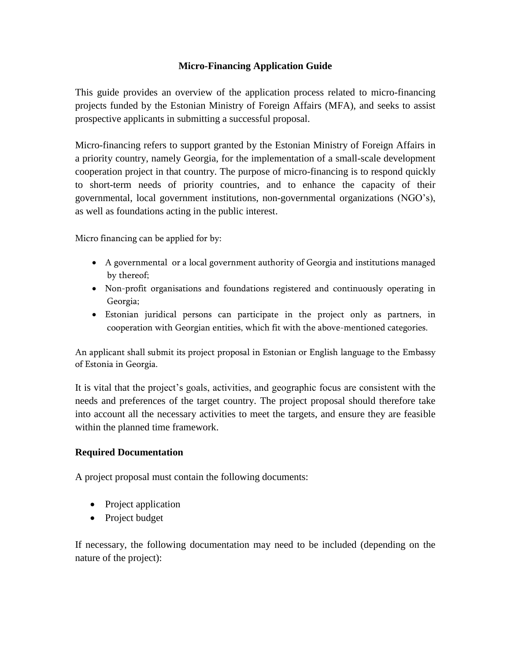# **Micro-Financing Application Guide**

This guide provides an overview of the application process related to micro-financing projects funded by the Estonian Ministry of Foreign Affairs (MFA), and seeks to assist prospective applicants in submitting a successful proposal.

Micro-financing refers to support granted by the Estonian Ministry of Foreign Affairs in a priority country, namely Georgia, for the implementation of a small-scale development cooperation project in that country. The purpose of micro-financing is to respond quickly to short-term needs of priority countries, and to enhance the capacity of their governmental, local government institutions, non-governmental organizations (NGO's), as well as foundations acting in the public interest.

Micro financing can be applied for by:

- A governmental or a local government authority of Georgia and institutions managed by thereof;
- Non-profit organisations and foundations registered and continuously operating in Georgia;
- Estonian juridical persons can participate in the project only as partners, in cooperation with Georgian entities, which fit with the above-mentioned categories.

An applicant shall submit its project proposal in Estonian or English language to the Embassy of Estonia in Georgia.

It is vital that the project's goals, activities, and geographic focus are consistent with the needs and preferences of the target country. The project proposal should therefore take into account all the necessary activities to meet the targets, and ensure they are feasible within the planned time framework.

## **Required Documentation**

A project proposal must contain the following documents:

- Project application
- Project budget

If necessary, the following documentation may need to be included (depending on the nature of the project):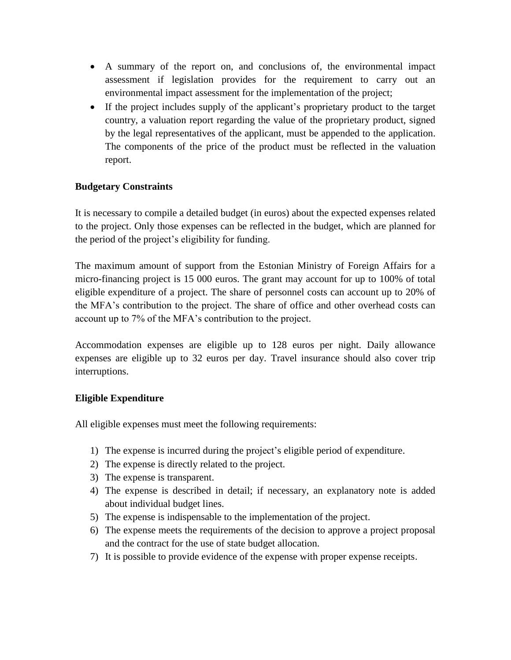- A summary of the report on, and conclusions of, the environmental impact assessment if legislation provides for the requirement to carry out an environmental impact assessment for the implementation of the project;
- If the project includes supply of the applicant's proprietary product to the target country, a valuation report regarding the value of the proprietary product, signed by the legal representatives of the applicant, must be appended to the application. The components of the price of the product must be reflected in the valuation report.

# **Budgetary Constraints**

It is necessary to compile a detailed budget (in euros) about the expected expenses related to the project. Only those expenses can be reflected in the budget, which are planned for the period of the project's eligibility for funding.

The maximum amount of support from the Estonian Ministry of Foreign Affairs for a micro-financing project is 15 000 euros. The grant may account for up to 100% of total eligible expenditure of a project. The share of personnel costs can account up to 20% of the MFA's contribution to the project. The share of office and other overhead costs can account up to 7% of the MFA's contribution to the project.

Accommodation expenses are eligible up to 128 euros per night. Daily allowance expenses are eligible up to 32 euros per day. Travel insurance should also cover trip interruptions.

## **Eligible Expenditure**

All eligible expenses must meet the following requirements:

- 1) The expense is incurred during the project's eligible period of expenditure.
- 2) The expense is directly related to the project.
- 3) The expense is transparent.
- 4) The expense is described in detail; if necessary, an explanatory note is added about individual budget lines.
- 5) The expense is indispensable to the implementation of the project.
- 6) The expense meets the requirements of the decision to approve a project proposal and the contract for the use of state budget allocation.
- 7) It is possible to provide evidence of the expense with proper expense receipts.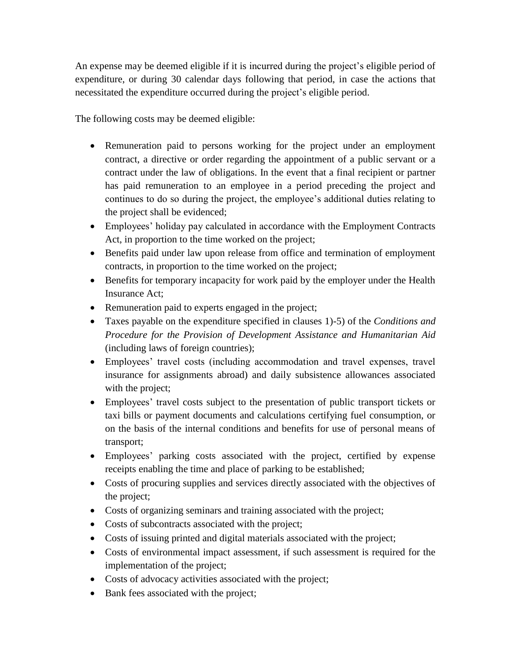An expense may be deemed eligible if it is incurred during the project's eligible period of expenditure, or during 30 calendar days following that period, in case the actions that necessitated the expenditure occurred during the project's eligible period.

The following costs may be deemed eligible:

- Remuneration paid to persons working for the project under an employment contract, a directive or order regarding the appointment of a public servant or a contract under the law of obligations. In the event that a final recipient or partner has paid remuneration to an employee in a period preceding the project and continues to do so during the project, the employee's additional duties relating to the project shall be evidenced;
- Employees' holiday pay calculated in accordance with the Employment Contracts Act, in proportion to the time worked on the project;
- Benefits paid under law upon release from office and termination of employment contracts, in proportion to the time worked on the project;
- Benefits for temporary incapacity for work paid by the employer under the Health Insurance Act;
- Remuneration paid to experts engaged in the project;
- Taxes payable on the expenditure specified in clauses 1)-5) of the *Conditions and Procedure for the Provision of Development Assistance and Humanitarian Aid* (including laws of foreign countries);
- Employees' travel costs (including accommodation and travel expenses, travel insurance for assignments abroad) and daily subsistence allowances associated with the project;
- Employees' travel costs subject to the presentation of public transport tickets or taxi bills or payment documents and calculations certifying fuel consumption, or on the basis of the internal conditions and benefits for use of personal means of transport;
- Employees' parking costs associated with the project, certified by expense receipts enabling the time and place of parking to be established;
- Costs of procuring supplies and services directly associated with the objectives of the project;
- Costs of organizing seminars and training associated with the project;
- Costs of subcontracts associated with the project;
- Costs of issuing printed and digital materials associated with the project;
- Costs of environmental impact assessment, if such assessment is required for the implementation of the project;
- Costs of advocacy activities associated with the project;
- Bank fees associated with the project;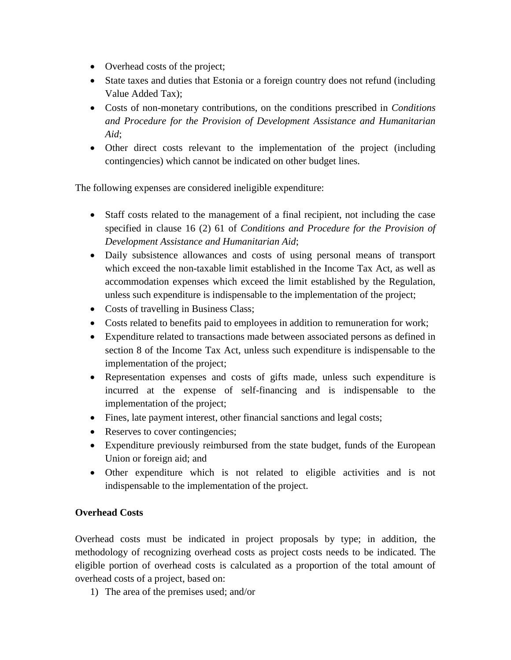- Overhead costs of the project;
- State taxes and duties that Estonia or a foreign country does not refund (including Value Added Tax);
- Costs of non-monetary contributions, on the conditions prescribed in *Conditions and Procedure for the Provision of Development Assistance and Humanitarian Aid*;
- Other direct costs relevant to the implementation of the project (including contingencies) which cannot be indicated on other budget lines.

The following expenses are considered ineligible expenditure:

- Staff costs related to the management of a final recipient, not including the case specified in clause 16 (2) 61 of *Conditions and Procedure for the Provision of Development Assistance and Humanitarian Aid*;
- Daily subsistence allowances and costs of using personal means of transport which exceed the non-taxable limit established in the Income Tax Act, as well as accommodation expenses which exceed the limit established by the Regulation, unless such expenditure is indispensable to the implementation of the project;
- Costs of travelling in Business Class;
- Costs related to benefits paid to employees in addition to remuneration for work;
- Expenditure related to transactions made between associated persons as defined in section 8 of the Income Tax Act, unless such expenditure is indispensable to the implementation of the project;
- Representation expenses and costs of gifts made, unless such expenditure is incurred at the expense of self-financing and is indispensable to the implementation of the project;
- Fines, late payment interest, other financial sanctions and legal costs;
- Reserves to cover contingencies;
- Expenditure previously reimbursed from the state budget, funds of the European Union or foreign aid; and
- Other expenditure which is not related to eligible activities and is not indispensable to the implementation of the project.

## **Overhead Costs**

Overhead costs must be indicated in project proposals by type; in addition, the methodology of recognizing overhead costs as project costs needs to be indicated. The eligible portion of overhead costs is calculated as a proportion of the total amount of overhead costs of a project, based on:

1) The area of the premises used; and/or